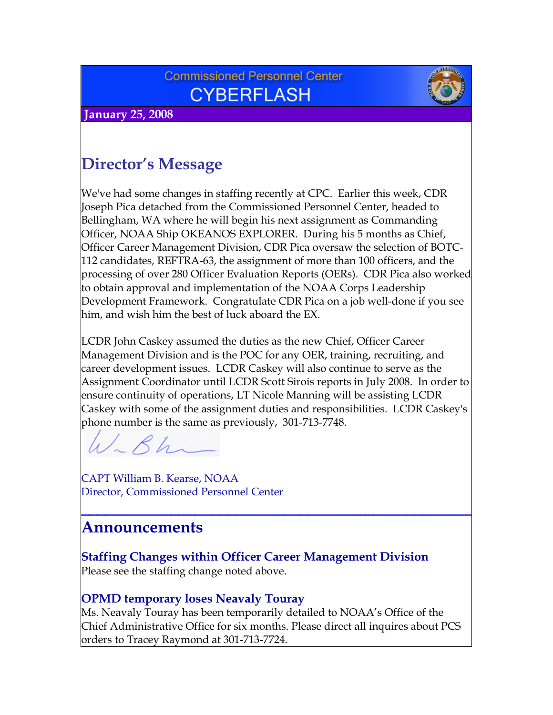## **Commissioned Personnel Center CYBERFLASH**



 **January 25, 2008**

# **Director's Message**

We've had some changes in staffing recently at CPC. Earlier this week, CDR Joseph Pica detached from the Commissioned Personnel Center, headed to Bellingham, WA where he will begin his next assignment as Commanding Officer, NOAA Ship OKEANOS EXPLORER. During his 5 months as Chief, Officer Career Management Division, CDR Pica oversaw the selection of BOTC-112 candidates, REFTRA-63, the assignment of more than 100 officers, and the processing of over 280 Officer Evaluation Reports (OERs). CDR Pica also worked to obtain approval and implementation of the NOAA Corps Leadership Development Framework. Congratulate CDR Pica on a job well-done if you see him, and wish him the best of luck aboard the EX.

LCDR John Caskey assumed the duties as the new Chief, Officer Career Management Division and is the POC for any OER, training, recruiting, and career development issues. LCDR Caskey will also continue to serve as the Assignment Coordinator until LCDR Scott Sirois reports in July 2008. In order to ensure continuity of operations, LT Nicole Manning will be assisting LCDR Caskey with some of the assignment duties and responsibilities. LCDR Caskey's phone number is the same as previously, 301-713-7748.

**\_\_\_\_\_\_\_\_\_\_\_\_\_\_\_\_\_\_\_\_\_\_\_\_\_\_\_\_\_\_\_\_\_\_\_\_\_\_\_\_\_\_\_\_\_\_\_\_**

 $Rh$ 

CAPT William B. Kearse, NOAA Director, Commissioned Personnel Center

## **Announcements**

**Staffing Changes within Officer Career Management Division**  Please see the staffing change noted above.

### **OPMD temporary loses Neavaly Touray**

Ms. Neavaly Touray has been temporarily detailed to NOAA's Office of the Chief Administrative Office for six months. Please direct all inquires about PCS orders to Tracey Raymond at 301-713-7724.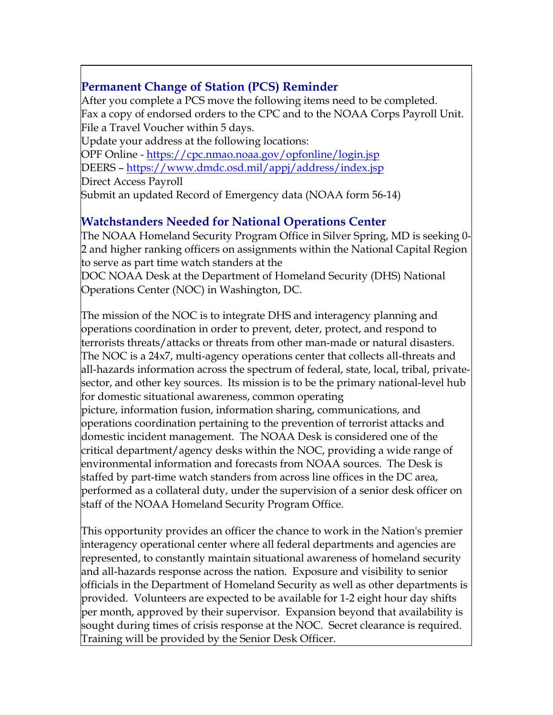## **Permanent Change of Station (PCS) Reminder**

After you complete a PCS move the following items need to be completed. Fax a copy of endorsed orders to the CPC and to the NOAA Corps Payroll Unit. File a Travel Voucher within 5 days.

Update your address at the following locations: OPF Online -<https://cpc.nmao.noaa.gov/opfonline/login.jsp> DEERS –<https://www.dmdc.osd.mil/appj/address/index.jsp> Direct Access Payroll Submit an updated Record of Emergency data (NOAA form 56-14)

### **Watchstanders Needed for National Operations Center**

The NOAA Homeland Security Program Office in Silver Spring, MD is seeking 0- 2 and higher ranking officers on assignments within the National Capital Region to serve as part time watch standers at the

DOC NOAA Desk at the Department of Homeland Security (DHS) National Operations Center (NOC) in Washington, DC.

The mission of the NOC is to integrate DHS and interagency planning and operations coordination in order to prevent, deter, protect, and respond to terrorists threats/attacks or threats from other man-made or natural disasters. The NOC is a 24x7, multi-agency operations center that collects all-threats and all-hazards information across the spectrum of federal, state, local, tribal, privatesector, and other key sources. Its mission is to be the primary national-level hub for domestic situational awareness, common operating

picture, information fusion, information sharing, communications, and operations coordination pertaining to the prevention of terrorist attacks and domestic incident management. The NOAA Desk is considered one of the critical department/agency desks within the NOC, providing a wide range of environmental information and forecasts from NOAA sources. The Desk is staffed by part-time watch standers from across line offices in the DC area, performed as a collateral duty, under the supervision of a senior desk officer on staff of the NOAA Homeland Security Program Office.

This opportunity provides an officer the chance to work in the Nation's premier interagency operational center where all federal departments and agencies are represented, to constantly maintain situational awareness of homeland security and all-hazards response across the nation. Exposure and visibility to senior officials in the Department of Homeland Security as well as other departments is provided. Volunteers are expected to be available for 1-2 eight hour day shifts per month, approved by their supervisor. Expansion beyond that availability is sought during times of crisis response at the NOC. Secret clearance is required. Training will be provided by the Senior Desk Officer.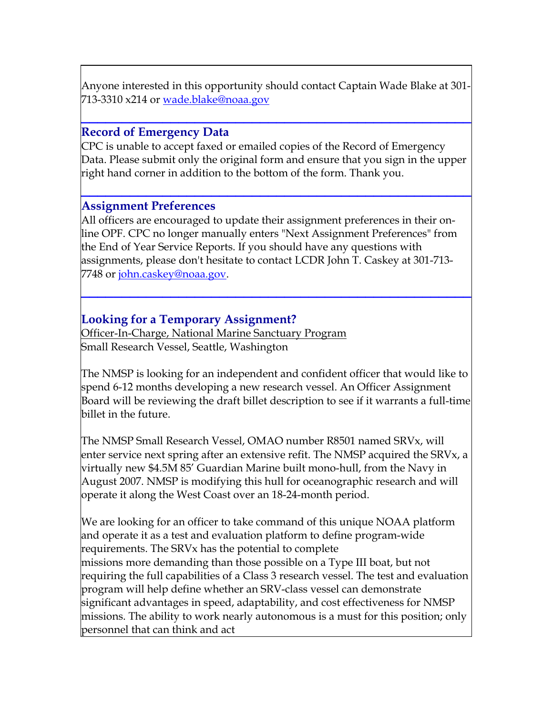Anyone interested in this opportunity should contact Captain Wade Blake at 301- 713-3310 x214 or [wade.blake@noaa.gov](mailto:wade.blake@noaa.gov) 

**\_\_\_\_\_\_\_\_\_\_\_\_\_\_\_\_\_\_\_\_\_\_\_\_\_\_\_\_\_\_\_\_\_\_\_\_\_\_\_\_\_\_\_\_\_\_\_\_**

#### **Record of Emergency Data**

CPC is unable to accept faxed or emailed copies of the Record of Emergency Data. Please submit only the original form and ensure that you sign in the upper right hand corner in addition to the bottom of the form. Thank you.

**\_\_\_\_\_\_\_\_\_\_\_\_\_\_\_\_\_\_\_\_\_\_\_\_\_\_\_\_\_\_\_\_\_\_\_\_\_\_\_\_\_\_\_\_\_\_\_\_**

#### **Assignment Preferences**

All officers are encouraged to update their assignment preferences in their online OPF. CPC no longer manually enters "Next Assignment Preferences" from the End of Year Service Reports. If you should have any questions with assignments, please don't hesitate to contact LCDR John T. Caskey at 301-713- 7748 or [john.caskey@noaa.gov.](mailto:john.caskey@noaa.gov)

**\_\_\_\_\_\_\_\_\_\_\_\_\_\_\_\_\_\_\_\_\_\_\_\_\_\_\_\_\_\_\_\_\_\_\_\_\_\_\_\_\_\_\_\_\_\_\_\_**

#### **Looking for a Temporary Assignment?**

Officer-In-Charge, National Marine Sanctuary Program Small Research Vessel, Seattle, Washington

The NMSP is looking for an independent and confident officer that would like to spend 6-12 months developing a new research vessel. An Officer Assignment Board will be reviewing the draft billet description to see if it warrants a full-time billet in the future.

The NMSP Small Research Vessel, OMAO number R8501 named SRVx, will enter service next spring after an extensive refit. The NMSP acquired the SRVx, a virtually new \$4.5M 85' Guardian Marine built mono-hull, from the Navy in August 2007. NMSP is modifying this hull for oceanographic research and will operate it along the West Coast over an 18-24-month period.

We are looking for an officer to take command of this unique NOAA platform and operate it as a test and evaluation platform to define program-wide requirements. The SRVx has the potential to complete missions more demanding than those possible on a Type III boat, but not requiring the full capabilities of a Class 3 research vessel. The test and evaluation program will help define whether an SRV-class vessel can demonstrate significant advantages in speed, adaptability, and cost effectiveness for NMSP missions. The ability to work nearly autonomous is a must for this position; only personnel that can think and act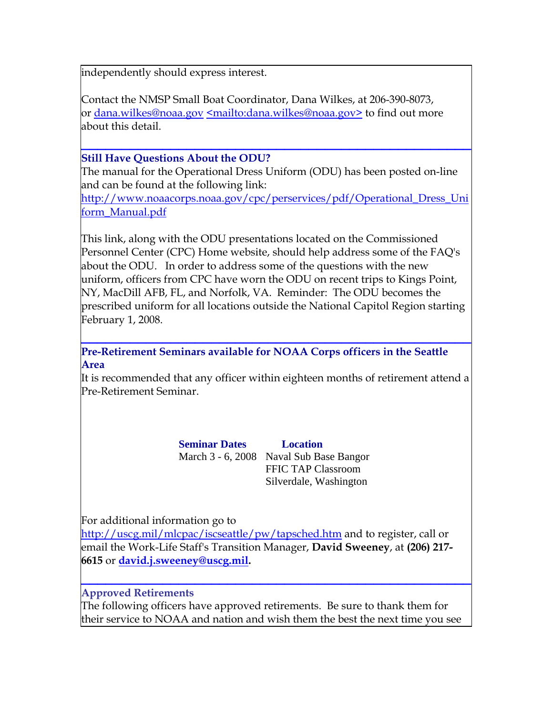independently should express interest.

Contact the NMSP Small Boat Coordinator, Dana Wilkes, at 206-390-8073, or [dana.wilkes@noaa.gov](mailto:dana.wilkes@noaa.gov) [<mailto:dana.wilkes@noaa.gov>](mailto:dana.wilkes@noaa.gov) to find out more about this detail.

### **\_\_\_\_\_\_\_\_\_\_\_\_\_\_\_\_\_\_\_\_\_\_\_\_\_\_\_\_\_\_\_\_\_\_\_\_\_\_\_\_\_\_\_\_\_\_\_\_ Still Have Questions About the ODU?**

The manual for the Operational Dress Uniform (ODU) has been posted on-line and can be found at the following link:

[http://www.noaacorps.noaa.gov/cpc/perservices/pdf/Operational\\_Dress\\_Uni](http://www.noaacorps.noaa.gov/cpc/perservices/pdf/Operational_Dress_Uniform_Manual.pdf) [form\\_Manual.pdf](http://www.noaacorps.noaa.gov/cpc/perservices/pdf/Operational_Dress_Uniform_Manual.pdf)

This link, along with the ODU presentations located on the Commissioned Personnel Center (CPC) Home website, should help address some of the FAQ's about the ODU. In order to address some of the questions with the new uniform, officers from CPC have worn the ODU on recent trips to Kings Point, NY, MacDill AFB, FL, and Norfolk, VA. Reminder: The ODU becomes the prescribed uniform for all locations outside the National Capitol Region starting February 1, 2008.

**Pre-Retirement Seminars available for NOAA Corps officers in the Seattle Area**

It is recommended that any officer within eighteen months of retirement attend a Pre-Retirement Seminar.

**\_\_\_\_\_\_\_\_\_\_\_\_\_\_\_\_\_\_\_\_\_\_\_\_\_\_\_\_\_\_\_\_\_\_\_\_\_\_\_\_\_\_\_\_\_\_\_\_**

**Seminar Dates Location**  March 3 - 6, 2008 Naval Sub Base Bangor FFIC TAP Classroom Silverdale, Washington

For additional information go to

<http://uscg.mil/mlcpac/iscseattle/pw/tapsched.htm>and to register, call or email the Work-Life Staff's Transition Manager, **David Sweeney**, at **(206) 217- 6615** or **[david.j.sweeney@uscg.mil](mailto:david.j.sweeney@uscg.mil).**

**Approved Retirements**

The following officers have approved retirements. Be sure to thank them for their service to NOAA and nation and wish them the best the next time you see

**\_\_\_\_\_\_\_\_\_\_\_\_\_\_\_\_\_\_\_\_\_\_\_\_\_\_\_\_\_\_\_\_\_\_\_\_\_\_\_\_\_\_\_\_\_\_\_\_**